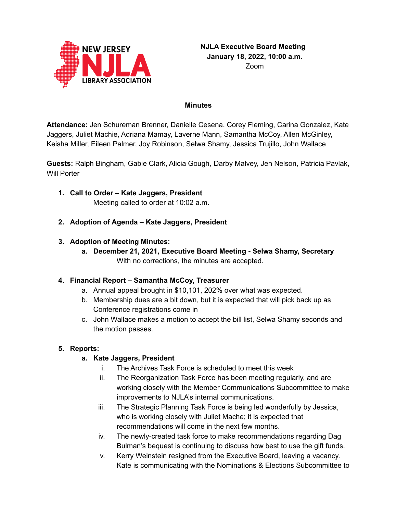

#### **Minutes**

**Attendance:** Jen Schureman Brenner, Danielle Cesena, Corey Fleming, Carina Gonzalez, Kate Jaggers, Juliet Machie, Adriana Mamay, Laverne Mann, Samantha McCoy, Allen McGinley, Keisha Miller, Eileen Palmer, Joy Robinson, Selwa Shamy, Jessica Trujillo, John Wallace

**Guests:** Ralph Bingham, Gabie Clark, Alicia Gough, Darby Malvey, Jen Nelson, Patricia Pavlak, Will Porter

- **1. Call to Order – Kate Jaggers, President** Meeting called to order at 10:02 a.m.
- **2. Adoption of Agenda – Kate Jaggers, President**

### **3. Adoption of Meeting Minutes:**

**a. December 21, 2021, Executive Board Meeting - Selwa Shamy, Secretary** With no corrections, the minutes are accepted.

### **4. Financial Report – Samantha McCoy, Treasurer**

- a. Annual appeal brought in \$10,101, 202% over what was expected.
- b. Membership dues are a bit down, but it is expected that will pick back up as Conference registrations come in
- c. John Wallace makes a motion to accept the bill list, Selwa Shamy seconds and the motion passes.

### **5. Reports:**

### **a. Kate Jaggers, President**

- i. The Archives Task Force is scheduled to meet this week
- ii. The Reorganization Task Force has been meeting regularly, and are working closely with the Member Communications Subcommittee to make improvements to NJLA's internal communications.
- iii. The Strategic Planning Task Force is being led wonderfully by Jessica, who is working closely with Juliet Mache; it is expected that recommendations will come in the next few months.
- iv. The newly-created task force to make recommendations regarding Dag Bulman's bequest is continuing to discuss how best to use the gift funds.
- v. Kerry Weinstein resigned from the Executive Board, leaving a vacancy. Kate is communicating with the Nominations & Elections Subcommittee to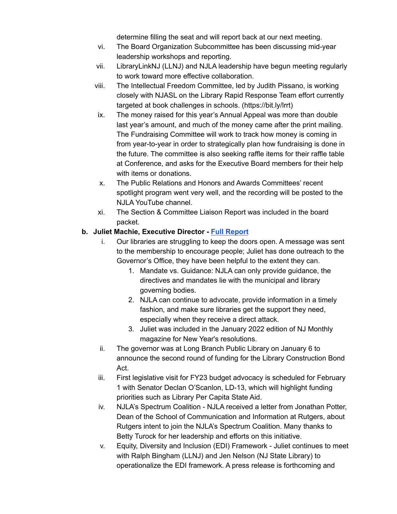determine filling the seat and will report back at our next meeting.

- vi. The Board Organization Subcommittee has been discussing mid-year leadership workshops and reporting.
- vii. LibraryLinkNJ (LLNJ) and NJLA leadership have begun meeting regularly to work toward more effective collaboration.
- viii. The Intellectual Freedom Committee, led by Judith Pissano, is working closely with NJASL on the Library Rapid Response Team effort currently targeted at book challenges in schools. (https://bit.ly/lrrt)
- ix. The money raised for this year's Annual Appeal was more than double last year's amount, and much of the money came after the print mailing. The Fundraising Committee will work to track how money is coming in from year-to-year in order to strategically plan how fundraising is done in the future. The committee is also seeking raffle items for their raffle table at Conference, and asks for the Executive Board members for their help with items or donations.
- x. The Public Relations and Honors and Awards Committees' recent spotlight program went very well, and the recording will be posted to the NJLA YouTube channel.
- xi. The Section & Committee Liaison Report was included in the board packet.

### **b. Juliet Machie, Executive Director - Full [Report](https://njla.memberclicks.net/assets/Exec_Board_Minutes_Docs/Board_Docs_2021-22/Exec%20Dir%20Report%20January%202022.pdf)**

- i. Our libraries are struggling to keep the doors open. A message was sent to the membership to encourage people; Juliet has done outreach to the Governor's Office, they have been helpful to the extent they can.
	- 1. Mandate vs. Guidance: NJLA can only provide guidance, the directives and mandates lie with the municipal and library governing bodies.
	- 2. NJLA can continue to advocate, provide information in a timely fashion, and make sure libraries get the support they need, especially when they receive a direct attack.
	- 3. Juliet was included in the January 2022 edition of NJ Monthly magazine for New Year's resolutions.
- ii. The governor was at Long Branch Public Library on January 6 to announce the second round of funding for the Library Construction Bond Act.
- iii. First legislative visit for FY23 budget advocacy is scheduled for February 1 with Senator Declan O'Scanlon, LD-13, which will highlight funding priorities such as Library Per Capita State Aid.
- iv. NJLA's Spectrum Coalition NJLA received a letter from Jonathan Potter, Dean of the School of Communication and Information at Rutgers, about Rutgers intent to join the NJLA's Spectrum Coalition. Many thanks to Betty Turock for her leadership and efforts on this initiative.
- v. Equity, Diversity and Inclusion (EDI) Framework Juliet continues to meet with Ralph Bingham (LLNJ) and Jen Nelson (NJ State Library) to operationalize the EDI framework. A press release is forthcoming and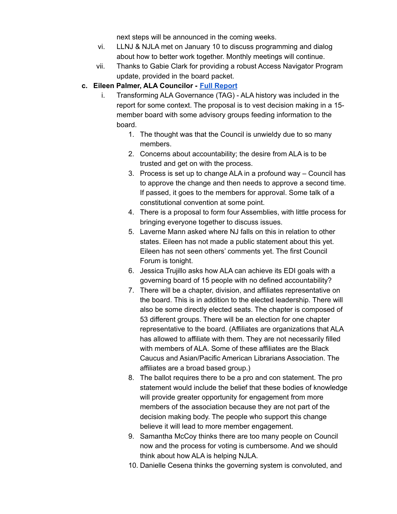next steps will be announced in the coming weeks.

- vi. LLNJ & NJLA met on January 10 to discuss programming and dialog about how to better work together. Monthly meetings will continue.
- vii. Thanks to Gabie Clark for providing a robust Access Navigator Program update, provided in the board packet.

#### **c. Eileen Palmer, ALA Councilor - Full [Report](https://njla.memberclicks.net/assets/Exec_Board_Minutes_Docs/Board_Docs_2021-22/ALA%20Chapter%20Councilor%20Report%20January%202022.pdf)**

- i. Transforming ALA Governance (TAG) ALA history was included in the report for some context. The proposal is to vest decision making in a 15 member board with some advisory groups feeding information to the board.
	- 1. The thought was that the Council is unwieldy due to so many members.
	- 2. Concerns about accountability; the desire from ALA is to be trusted and get on with the process.
	- 3. Process is set up to change ALA in a profound way Council has to approve the change and then needs to approve a second time. If passed, it goes to the members for approval. Some talk of a constitutional convention at some point.
	- 4. There is a proposal to form four Assemblies, with little process for bringing everyone together to discuss issues.
	- 5. Laverne Mann asked where NJ falls on this in relation to other states. Eileen has not made a public statement about this yet. Eileen has not seen others' comments yet. The first Council Forum is tonight.
	- 6. Jessica Trujillo asks how ALA can achieve its EDI goals with a governing board of 15 people with no defined accountability?
	- 7. There will be a chapter, division, and affiliates representative on the board. This is in addition to the elected leadership. There will also be some directly elected seats. The chapter is composed of 53 different groups. There will be an election for one chapter representative to the board. (Affiliates are organizations that ALA has allowed to affiliate with them. They are not necessarily filled with members of ALA. Some of these affiliates are the Black Caucus and Asian/Pacific American Librarians Association. The affiliates are a broad based group.)
	- 8. The ballot requires there to be a pro and con statement. The pro statement would include the belief that these bodies of knowledge will provide greater opportunity for engagement from more members of the association because they are not part of the decision making body. The people who support this change believe it will lead to more member engagement.
	- 9. Samantha McCoy thinks there are too many people on Council now and the process for voting is cumbersome. And we should think about how ALA is helping NJLA.
	- 10. Danielle Cesena thinks the governing system is convoluted, and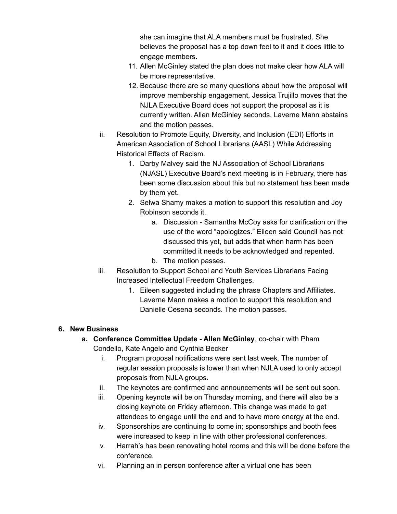she can imagine that ALA members must be frustrated. She believes the proposal has a top down feel to it and it does little to engage members.

- 11. Allen McGinley stated the plan does not make clear how ALA will be more representative.
- 12. Because there are so many questions about how the proposal will improve membership engagement, Jessica Trujillo moves that the NJLA Executive Board does not support the proposal as it is currently written. Allen McGinley seconds, Laverne Mann abstains and the motion passes.
- ii. Resolution to Promote Equity, Diversity, and Inclusion (EDI) Efforts in American Association of School Librarians (AASL) While Addressing Historical Effects of Racism.
	- 1. Darby Malvey said the NJ Association of School Librarians (NJASL) Executive Board's next meeting is in February, there has been some discussion about this but no statement has been made by them yet.
	- 2. Selwa Shamy makes a motion to support this resolution and Joy Robinson seconds it.
		- a. Discussion Samantha McCoy asks for clarification on the use of the word "apologizes." Eileen said Council has not discussed this yet, but adds that when harm has been committed it needs to be acknowledged and repented.
		- b. The motion passes.
- iii. Resolution to Support School and Youth Services Librarians Facing Increased Intellectual Freedom Challenges.
	- 1. Eileen suggested including the phrase Chapters and Affiliates. Laverne Mann makes a motion to support this resolution and Danielle Cesena seconds. The motion passes.

## **6. New Business**

- **a. Conference Committee Update - Allen McGinley**, co-chair with Pham Condello, Kate Angelo and Cynthia Becker
	- i. Program proposal notifications were sent last week. The number of regular session proposals is lower than when NJLA used to only accept proposals from NJLA groups.
	- ii. The keynotes are confirmed and announcements will be sent out soon.
	- iii. Opening keynote will be on Thursday morning, and there will also be a closing keynote on Friday afternoon. This change was made to get attendees to engage until the end and to have more energy at the end.
	- iv. Sponsorships are continuing to come in; sponsorships and booth fees were increased to keep in line with other professional conferences.
	- v. Harrah's has been renovating hotel rooms and this will be done before the conference.
	- vi. Planning an in person conference after a virtual one has been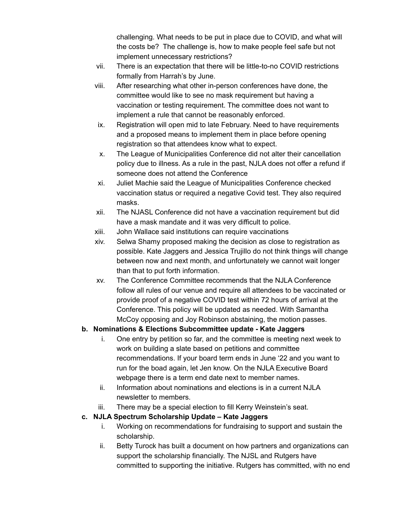challenging. What needs to be put in place due to COVID, and what will the costs be? The challenge is, how to make people feel safe but not implement unnecessary restrictions?

- vii. There is an expectation that there will be little-to-no COVID restrictions formally from Harrah's by June.
- viii. After researching what other in-person conferences have done, the committee would like to see no mask requirement but having a vaccination or testing requirement. The committee does not want to implement a rule that cannot be reasonably enforced.
- ix. Registration will open mid to late February. Need to have requirements and a proposed means to implement them in place before opening registration so that attendees know what to expect.
- x. The League of Municipalities Conference did not alter their cancellation policy due to illness. As a rule in the past, NJLA does not offer a refund if someone does not attend the Conference
- xi. Juliet Machie said the League of Municipalities Conference checked vaccination status or required a negative Covid test. They also required masks.
- xii. The NJASL Conference did not have a vaccination requirement but did have a mask mandate and it was very difficult to police.
- xiii. John Wallace said institutions can require vaccinations
- xiv. Selwa Shamy proposed making the decision as close to registration as possible. Kate Jaggers and Jessica Trujillo do not think things will change between now and next month, and unfortunately we cannot wait longer than that to put forth information.
- xv. The Conference Committee recommends that the NJLA Conference follow all rules of our venue and require all attendees to be vaccinated or provide proof of a negative COVID test within 72 hours of arrival at the Conference. This policy will be updated as needed. With Samantha McCoy opposing and Joy Robinson abstaining, the motion passes.

# **b. Nominations & Elections Subcommittee update - Kate Jaggers**

- i. One entry by petition so far, and the committee is meeting next week to work on building a slate based on petitions and committee recommendations. If your board term ends in June '22 and you want to run for the boad again, let Jen know. On the NJLA Executive Board webpage there is a term end date next to member names.
- ii. Information about nominations and elections is in a current NJLA newsletter to members.
- iii. There may be a special election to fill Kerry Weinstein's seat.

# **c. NJLA Spectrum Scholarship Update – Kate Jaggers**

- i. Working on recommendations for fundraising to support and sustain the scholarship.
- ii. Betty Turock has built a document on how partners and organizations can support the scholarship financially. The NJSL and Rutgers have committed to supporting the initiative. Rutgers has committed, with no end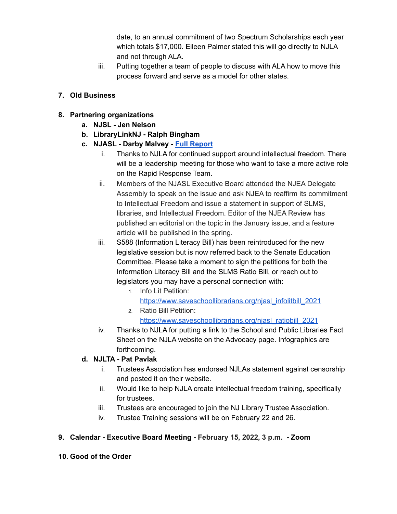date, to an annual commitment of two Spectrum Scholarships each year which totals \$17,000. Eileen Palmer stated this will go directly to NJLA and not through ALA.

iii. Putting together a team of people to discuss with ALA how to move this process forward and serve as a model for other states.

### **7. Old Business**

- **8. Partnering organizations**
	- **a. NJSL - Jen Nelson**
	- **b. LibraryLinkNJ - Ralph Bingham**
	- **c. NJASL - Darby Malvey - Full [Report](https://njla.memberclicks.net/assets/Exec_Board_Minutes_Docs/Board_Docs_2021-22/NJASL%20Liaison%20Report%20January%202022.pdf)**
		- i. Thanks to NJLA for continued support around intellectual freedom. There will be a leadership meeting for those who want to take a more active role on the Rapid Response Team.
		- ii. Members of the NJASL Executive Board attended the NJEA Delegate Assembly to speak on the issue and ask NJEA to reaffirm its commitment to Intellectual Freedom and issue a statement in support of SLMS, libraries, and Intellectual Freedom. Editor of the NJEA Review has published an editorial on the topic in the January issue, and a feature article will be published in the spring.
		- iii. S588 (Information Literacy Bill) has been reintroduced for the new legislative session but is now referred back to the Senate Education Committee. Please take a moment to sign the petitions for both the Information Literacy Bill and the SLMS Ratio Bill, or reach out to legislators you may have a personal connection with:
			- 1. Info Lit Petition: [https://www.saveschoollibrarians.org/njasl\\_infolitbill\\_2021](https://www.saveschoollibrarians.org/njasl_infolitbill_2021) 2. Ratio Bill Petition:
				- [https://www.saveschoollibrarians.org/njasl\\_ratiobill\\_2021](https://www.saveschoollibrarians.org/njasl_ratiobill_2021)
		- iv. Thanks to NJLA for putting a link to the School and Public Libraries Fact Sheet on the NJLA website on the Advocacy page. Infographics are forthcoming.

## **d. NJLTA - Pat Pavlak**

- i. Trustees Association has endorsed NJLAs statement against censorship and posted it on their website.
- ii. Would like to help NJLA create intellectual freedom training, specifically for trustees.
- iii. Trustees are encouraged to join the NJ Library Trustee Association.
- iv. Trustee Training sessions will be on February 22 and 26.

## **9. Calendar - Executive Board Meeting - February 15, 2022, 3 p.m. - Zoom**

**10. Good of the Order**